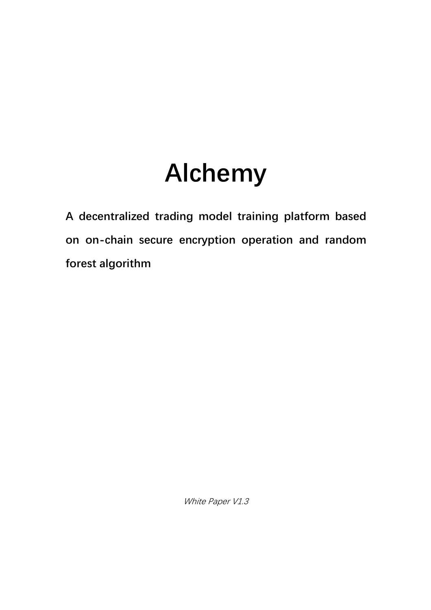# **Alchemy**

**A decentralized trading model training platform based on on-chain secure encryption operation and random forest algorithm**

White Paper V1.3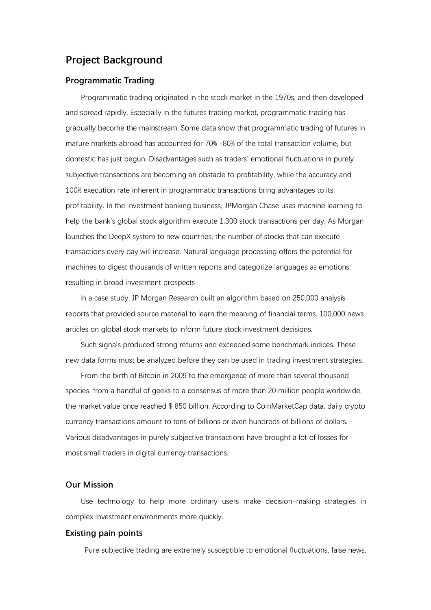# **Project Background**

#### **Programmatic Trading**

Programmatic trading originated in the stock market in the 1970s, and then developed and spread rapidly. Especially in the futures trading market, programmatic trading has gradually become the mainstream. Some data show that programmatic trading of futures in mature markets abroad has accounted for 70% -80% of the total transaction volume, but domestic has just begun. Disadvantages such as traders' emotional fluctuations in purely subjective transactions are becoming an obstacle to profitability, while the accuracy and 100% execution rate inherent in programmatic transactions bring advantages to its profitability. In the investment banking business, JPMorgan Chase uses machine learning to help the bank's global stock algorithm execute 1,300 stock transactions per day. As Morgan launches the DeepX system to new countries, the number of stocks that can execute transactions every day will increase. Natural language processing offers the potential for machines to digest thousands of written reports and categorize languages as emotions, resulting in broad investment prospects

In a case study, JP Morgan Research built an algorithm based on 250,000 analysis reports that provided source material to learn the meaning of financial terms. 100,000 news articles on global stock markets to inform future stock investment decisions.

Such signals produced strong returns and exceeded some benchmark indices. These new data forms must be analyzed before they can be used in trading investment strategies.

From the birth of Bitcoin in 2009 to the emergence of more than several thousand species, from a handful of geeks to a consensus of more than 20 million people worldwide, the market value once reached \$ 850 billion. According to CoinMarketCap data, daily crypto currency transactions amount to tens of billions or even hundreds of billions of dollars. Various disadvantages in purely subjective transactions have brought a lot of losses for most small traders in digital currency transactions.

## **Our Mission**

Use technology to help more ordinary users make decision-making strategies in complex investment environments more quickly.

## **Existing pain points**

Pure subjective trading are extremely susceptible to emotional fluctuations, false news,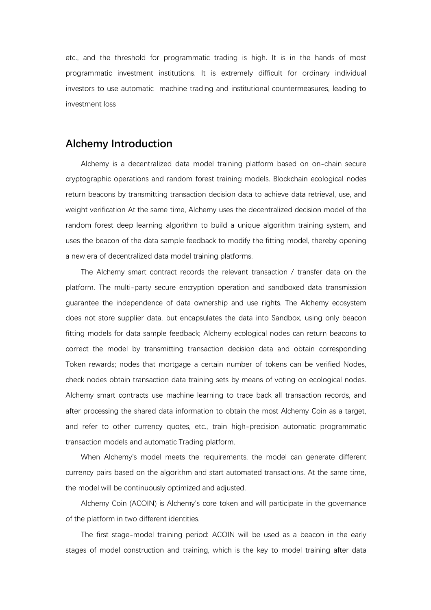etc., and the threshold for programmatic trading is high. It is in the hands of most programmatic investment institutions. It is extremely difficult for ordinary individual investors to use automatic machine trading and institutional countermeasures, leading to investment loss

# **Alchemy Introduction**

Alchemy is a decentralized data model training platform based on on-chain secure cryptographic operations and random forest training models. Blockchain ecological nodes return beacons by transmitting transaction decision data to achieve data retrieval, use, and weight verification At the same time, Alchemy uses the decentralized decision model of the random forest deep learning algorithm to build a unique algorithm training system, and uses the beacon of the data sample feedback to modify the fitting model, thereby opening a new era of decentralized data model training platforms.

The Alchemy smart contract records the relevant transaction / transfer data on the platform. The multi-party secure encryption operation and sandboxed data transmission guarantee the independence of data ownership and use rights. The Alchemy ecosystem does not store supplier data, but encapsulates the data into Sandbox, using only beacon fitting models for data sample feedback; Alchemy ecological nodes can return beacons to correct the model by transmitting transaction decision data and obtain corresponding Token rewards; nodes that mortgage a certain number of tokens can be verified Nodes, check nodes obtain transaction data training sets by means of voting on ecological nodes. Alchemy smart contracts use machine learning to trace back all transaction records, and after processing the shared data information to obtain the most Alchemy Coin as a target, and refer to other currency quotes, etc., train high-precision automatic programmatic transaction models and automatic Trading platform.

When Alchemy's model meets the requirements, the model can generate different currency pairs based on the algorithm and start automated transactions. At the same time, the model will be continuously optimized and adjusted.

Alchemy Coin (ACOIN) is Alchemy's core token and will participate in the governance of the platform in two different identities.

The first stage-model training period: ACOIN will be used as a beacon in the early stages of model construction and training, which is the key to model training after data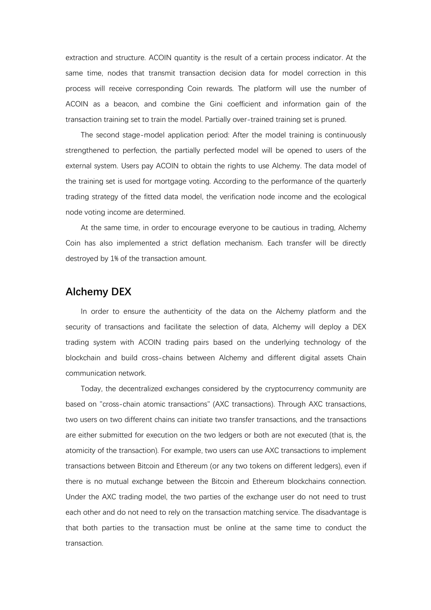extraction and structure. ACOIN quantity is the result of a certain process indicator. At the same time, nodes that transmit transaction decision data for model correction in this process will receive corresponding Coin rewards. The platform will use the number of ACOIN as a beacon, and combine the Gini coefficient and information gain of the transaction training set to train the model. Partially over-trained training set is pruned.

The second stage-model application period: After the model training is continuously strengthened to perfection, the partially perfected model will be opened to users of the external system. Users pay ACOIN to obtain the rights to use Alchemy. The data model of the training set is used for mortgage voting. According to the performance of the quarterly trading strategy of the fitted data model, the verification node income and the ecological node voting income are determined.

At the same time, in order to encourage everyone to be cautious in trading. Alchemy Coin has also implemented a strict deflation mechanism. Each transfer will be directly destroved by 1% of the transaction amount.

# **Alchemy DEX**

In order to ensure the authenticity of the data on the Alchemy platform and the security of transactions and facilitate the selection of data, Alchemy will deploy a DEX trading system with ACOIN trading pairs based on the underlying technology of the blockchain and build cross-chains between Alchemy and different digital assets Chain communication network.

Today, the decentralized exchanges considered by the cryptocurrency community are based on "cross-chain atomic transactions" (AXC transactions). Through AXC transactions, two users on two different chains can initiate two transfer transactions, and the transactions are either submitted for execution on the two ledgers or both are not executed (that is, the atomicity of the transaction). For example, two users can use AXC transactions to implement transactions between Bitcoin and Ethereum (or any two tokens on different ledgers), even if there is no mutual exchange between the Bitcoin and Ethereum blockchains connection. Under the AXC trading model, the two parties of the exchange user do not need to trust each other and do not need to rely on the transaction matching service. The disadvantage is that both parties to the transaction must be online at the same time to conduct the transaction.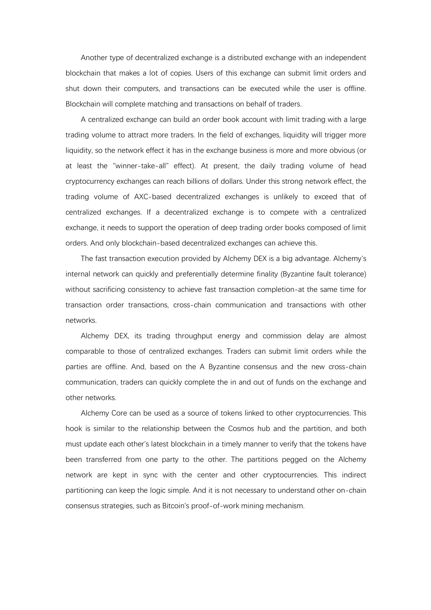Another type of decentralized exchange is a distributed exchange with an independent blockchain that makes a lot of copies. Users of this exchange can submit limit orders and shut down their computers, and transactions can be executed while the user is offline. Blockchain will complete matching and transactions on behalf of traders.

A centralized exchange can build an order book account with limit trading with a large trading volume to attract more traders. In the field of exchanges, liquidity will trigger more liquidity, so the network effect it has in the exchange business is more and more obvious (or at least the "winner-take-all" effect). At present, the daily trading volume of head cryptocurrency exchanges can reach billions of dollars. Under this strong network effect, the trading volume of AXC-based decentralized exchanges is unlikely to exceed that of centralized exchanges. If a decentralized exchange is to compete with a centralized exchange, it needs to support the operation of deep trading order books composed of limit orders. And only blockchain-based decentralized exchanges can achieve this.

The fast transaction execution provided by Alchemy DEX is a big advantage. Alchemy's internal network can quickly and preferentially determine finality (Byzantine fault tolerance) without sacrificing consistency to achieve fast transaction completion-at the same time for transaction order transactions, cross-chain communication and transactions with other networks.

Alchemy DEX, its trading throughput energy and commission delay are almost comparable to those of centralized exchanges. Traders can submit limit orders while the parties are offline. And, based on the A Byzantine consensus and the new cross-chain communication, traders can quickly complete the in and out of funds on the exchange and other networks.

Alchemy Core can be used as a source of tokens linked to other cryptocurrencies. This hook is similar to the relationship between the Cosmos hub and the partition, and both must update each other's latest blockchain in a timely manner to verify that the tokens have been transferred from one party to the other. The partitions pegged on the Alchemy network are kept in sync with the center and other cryptocurrencies. This indirect partitioning can keep the logic simple. And it is not necessary to understand other on-chain consensus strategies, such as Bitcoin's proof-of-work mining mechanism.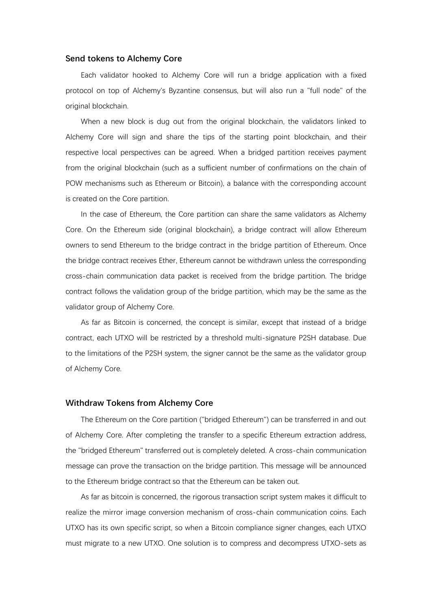#### **Send tokens to Alchemy Core**

Each validator hooked to Alchemy Core will run a bridge application with a fixed protocol on top of Alchemy's Byzantine consensus, but will also run a "full node" of the original blockchain.

When a new block is dug out from the original blockchain, the validators linked to Alchemy Core will sign and share the tips of the starting point blockchain, and their respective local perspectives can be agreed. When a bridged partition receives payment from the original blockchain (such as a sufficient number of confirmations on the chain of POW mechanisms such as Ethereum or Bitcoin), a balance with the corresponding account is created on the Core partition.

In the case of Ethereum, the Core partition can share the same validators as Alchemy Core. On the Ethereum side (original blockchain), a bridge contract will allow Ethereum owners to send Ethereum to the bridge contract in the bridge partition of Ethereum. Once the bridge contract receives Ether, Ethereum cannot be withdrawn unless the corresponding cross-chain communication data packet is received from the bridge partition. The bridge contract follows the validation group of the bridge partition, which may be the same as the validator group of Alchemy Core.

As far as Bitcoin is concerned, the concept is similar, except that instead of a bridge contract, each UTXO will be restricted by a threshold multi-signature P2SH database. Due to the limitations of the P2SH system, the signer cannot be the same as the validator group of Alchemy Core.

#### **Withdraw Tokens from Alchemy Core**

The Ethereum on the Core partition ("bridged Ethereum") can be transferred in and out of Alchemy Core. After completing the transfer to a specific Ethereum extraction address, the "bridged Ethereum" transferred out is completely deleted. A cross-chain communication message can prove the transaction on the bridge partition. This message will be announced to the Ethereum bridge contract so that the Ethereum can be taken out.

As far as bitcoin is concerned, the rigorous transaction script system makes it difficult to realize the mirror image conversion mechanism of cross-chain communication coins. Each UTXO has its own specific script, so when a Bitcoin compliance signer changes, each UTXO must migrate to a new UTXO. One solution is to compress and decompress UTXO-sets as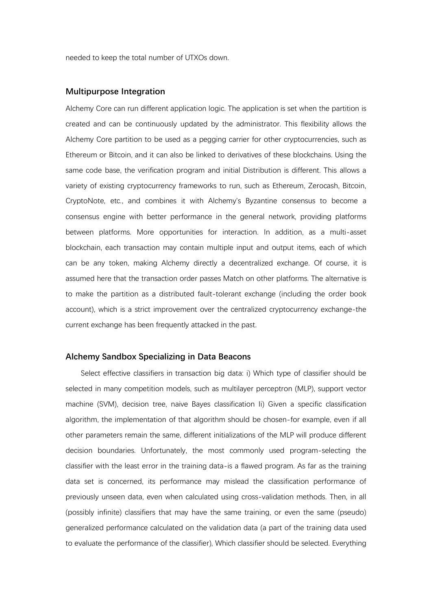needed to keep the total number of UTXOs down.

## **Multipurpose Integration**

Alchemy Core can run different application logic. The application is set when the partition is created and can be continuously updated by the administrator. This flexibility allows the Alchemy Core partition to be used as a pegging carrier for other cryptocurrencies, such as Ethereum or Bitcoin, and it can also be linked to derivatives of these blockchains. Using the same code base, the verification program and initial Distribution is different. This allows a variety of existing cryptocurrency frameworks to run, such as Ethereum, Zerocash, Bitcoin, CryptoNote, etc., and combines it with Alchemy's Byzantine consensus to become a consensus engine with better performance in the general network, providing platforms between platforms. More opportunities for interaction. In addition, as a multi-asset blockchain, each transaction may contain multiple input and output items, each of which can be any token, making Alchemy directly a decentralized exchange. Of course, it is assumed here that the transaction order passes Match on other platforms. The alternative is to make the partition as a distributed fault-tolerant exchange (including the order book account), which is a strict improvement over the centralized cryptocurrency exchange-the current exchange has been frequently attacked in the past.

#### **Alchemy Sandbox Specializing in Data Beacons**

Select effective classifiers in transaction big data: i) Which type of classifier should be selected in many competition models, such as multilayer perceptron (MLP), support vector machine (SVM), decision tree, naive Bayes classification li) Given a specific classification algorithm, the implementation of that algorithm should be chosen-for example, even if all other parameters remain the same, different initializations of the MLP will produce different decision boundaries. Unfortunately, the most commonly used program-selecting the classifier with the least error in the training data-is a flawed program. As far as the training data set is concerned, its performance may mislead the classification performance of previously unseen data, even when calculated using cross-validation methods. Then, in all (possibly infinite) classifiers that may have the same training, or even the same (pseudo) generalized performance calculated on the validation data (a part of the training data used to evaluate the performance of the classifier), Which classifier should be selected. Everything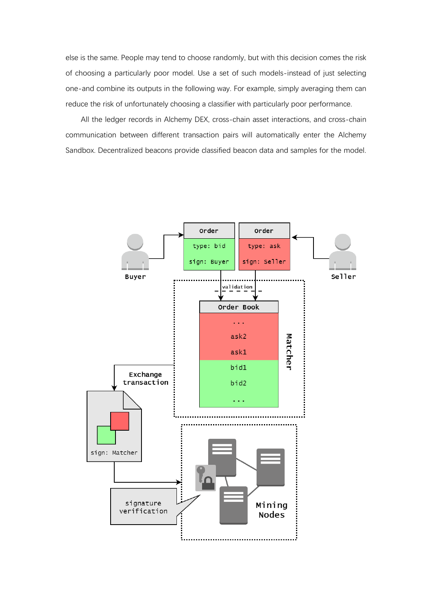else is the same. People may tend to choose randomly, but with this decision comes the risk of choosing a particularly poor model. Use a set of such models-instead of just selecting one-and combine its outputs in the following way. For example, simply averaging them can reduce the risk of unfortunately choosing a classifier with particularly poor performance.

All the ledger records in Alchemy DEX, cross-chain asset interactions, and cross-chain communication between different transaction pairs will automatically enter the Alchemy Sandbox. Decentralized beacons provide classified beacon data and samples for the model.

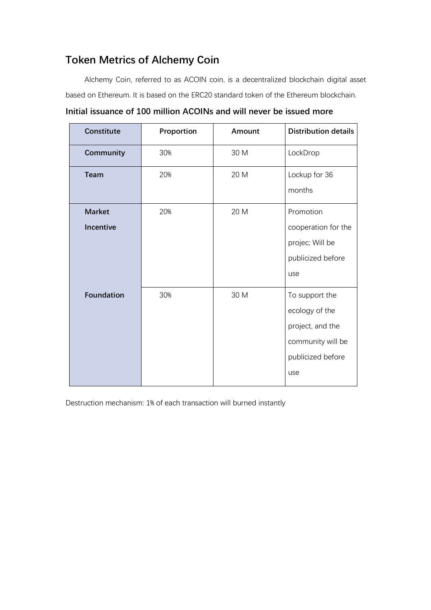# **Token Metrics of Alchemy Coin**

Alchemy Coin, referred to as ACOIN coin, is a decentralized blockchain digital asset based on Ethereum. It is based on the ERC20 standard token of the Ethereum blockchain.

| Constitute                        | Proportion | Amount | <b>Distribution details</b>                                                                           |
|-----------------------------------|------------|--------|-------------------------------------------------------------------------------------------------------|
| Community                         | 30%        | 30 M   | LockDrop                                                                                              |
| <b>Team</b>                       | 20%        | 20 M   | Lockup for 36<br>months                                                                               |
| <b>Market</b><br><b>Incentive</b> | 20%        | 20 M   | Promotion<br>cooperation for the<br>projec; Will be<br>publicized before<br>use                       |
| <b>Foundation</b>                 | 30%        | 30 M   | To support the<br>ecology of the<br>project, and the<br>community will be<br>publicized before<br>use |

**Initial issuance of 100 million ACOINs and will never be issued more**

Destruction mechanism: 1% of each transaction will burned instantly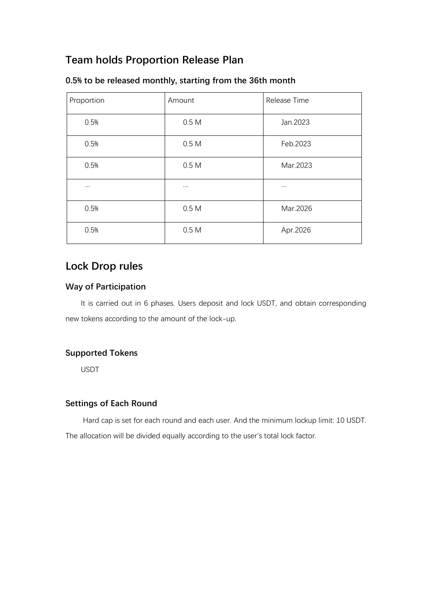# **Team holds Proportion Release Plan**

| Proportion | Amount           | Release Time |
|------------|------------------|--------------|
| 0.5%       | 0.5 <sub>M</sub> | Jan.2023     |
| 0.5%       | 0.5M             | Feb.2023     |
| 0.5%       | 0.5 <sub>M</sub> | Mar.2023     |
| $\cdots$   | $\cdots$         | $\cdots$     |
| 0.5%       | 0.5M             | Mar.2026     |
| 0.5%       | 0.5 <sub>M</sub> | Apr.2026     |

## **0.5% to be released monthly, starting from the 36th month**

# **Lock Drop rules**

## **Way of Participation**

It is carried out in 6 phases. Users deposit and lock USDT, and obtain corresponding new tokens according to the amount of the lock-up.

# **Supported Tokens**

USDT

## **Settings of Each Round**

Hard cap is set for each round and each user. And the minimum lockup limit: 10 USDT. The allocation will be divided equally according to the user's total lock factor.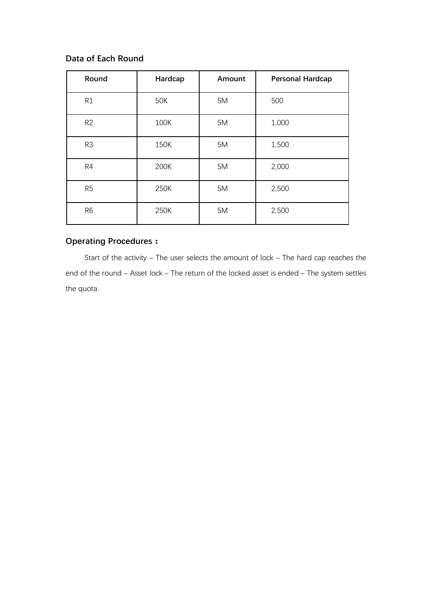## **Data of Each Round**

| Round          | Hardcap | Amount | <b>Personal Hardcap</b> |
|----------------|---------|--------|-------------------------|
| R1             | 50K     | 5M     | 500                     |
| R <sub>2</sub> | 100K    | 5M     | 1,000                   |
| R3             | 150K    | 5M     | 1,500                   |
| R4             | 200K    | 5M     | 2,000                   |
| R <sub>5</sub> | 250K    | 5M     | 2,500                   |
| R <sub>6</sub> | 250K    | 5M     | 2,500                   |

## **Operating Procedures:**

Start of the activity – The user selects the amount of lock – The hard cap reaches the end of the round – Asset lock – The return of the locked asset is ended – The system settles the quota.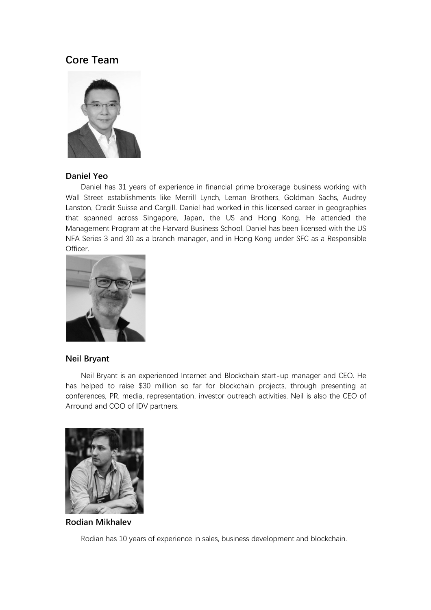# **Core Team**



## **Daniel Yeo**

Daniel has 31 years of experience in financial prime brokerage business working with Wall Street establishments like Merrill Lynch, Leman Brothers, Goldman Sachs, Audrey Lanston, Credit Suisse and Cargill. Daniel had worked in this licensed career in geographies that spanned across Singapore, Japan, the US and Hong Kong. He attended the Management Program at the Harvard Business School. Daniel has been licensed with the US NFA Series 3 and 30 as a branch manager, and in Hong Kong under SFC as a Responsible Officer.



## **Neil Bryant**

Neil Bryant is an experienced Internet and Blockchain start-up manager and CEO. He has helped to raise \$30 million so far for blockchain projects, through presenting at conferences, PR, media, representation, investor outreach activities. Neil is also the CEO of Arround and COO of IDV partners.



**Rodian Mikhalev**

Rodian has 10 years of experience in sales, business development and blockchain.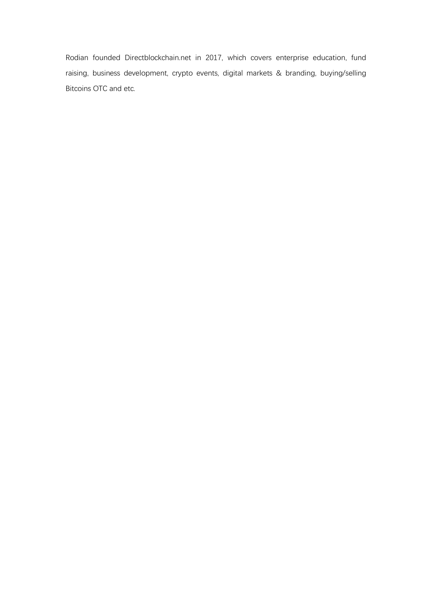Rodian founded Directblockchain.net in 2017, which covers enterprise education, fund raising, business development, crypto events, digital markets & branding, buying/selling Bitcoins OTC and etc.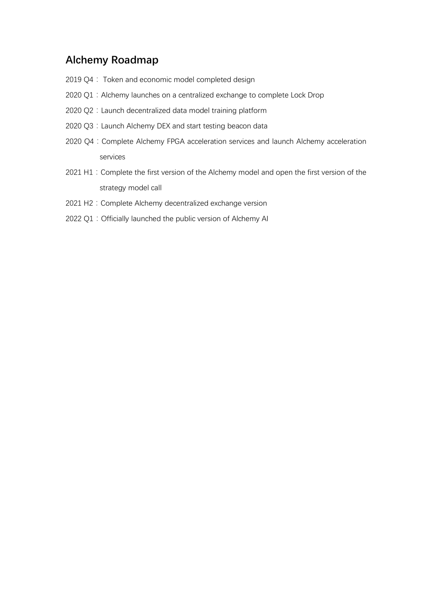# **Alchemy Roadmap**

- 2019 Q4: Token and economic model completed design
- 2020 Q1: Alchemy launches on a centralized exchange to complete Lock Drop
- 2020 Q2: Launch decentralized data model training platform
- 2020 Q3: Launch Alchemy DEX and start testing beacon data
- 2020 Q4: Complete Alchemy FPGA acceleration services and launch Alchemy acceleration services
- 2021 H1: Complete the first version of the Alchemy model and open the first version of the strategy model call
- 2021 H2: Complete Alchemy decentralized exchange version
- 2022 Q1: Officially launched the public version of Alchemy Al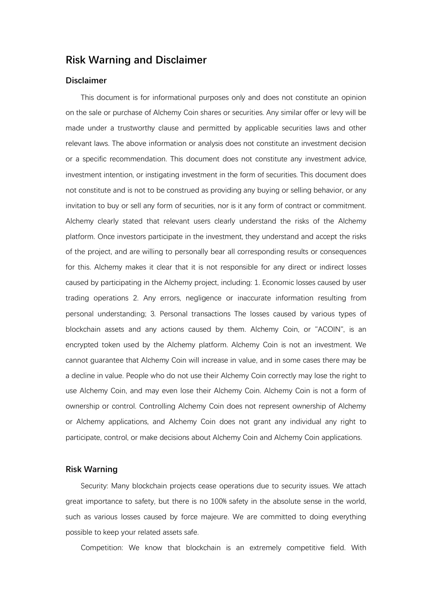## **Risk Warning and Disclaimer**

## **Disclaimer**

This document is for informational purposes only and does not constitute an opinion on the sale or purchase of Alchemy Coin shares or securities. Any similar offer or levy will be made under a trustworthy clause and permitted by applicable securities laws and other relevant laws. The above information or analysis does not constitute an investment decision or a specific recommendation. This document does not constitute any investment advice, investment intention, or instigating investment in the form of securities. This document does not constitute and is not to be construed as providing any buying or selling behavior, or any invitation to buy or sell any form of securities, nor is it any form of contract or commitment. Alchemy clearly stated that relevant users clearly understand the risks of the Alchemy platform. Once investors participate in the investment, they understand and accept the risks of the project, and are willing to personally bear all corresponding results or consequences for this. Alchemy makes it clear that it is not responsible for any direct or indirect losses caused by participating in the Alchemy project, including: 1. Economic losses caused by user trading operations 2. Any errors, negligence or inaccurate information resulting from personal understanding; 3. Personal transactions The losses caused by various types of blockchain assets and any actions caused by them. Alchemy Coin, or "ACOIN", is an encrypted token used by the Alchemy platform. Alchemy Coin is not an investment. We cannot guarantee that Alchemy Coin will increase in value, and in some cases there may be a decline in value. People who do not use their Alchemy Coin correctly may lose the right to use Alchemy Coin, and may even lose their Alchemy Coin. Alchemy Coin is not a form of ownership or control. Controlling Alchemy Coin does not represent ownership of Alchemy or Alchemy applications, and Alchemy Coin does not grant any individual any right to participate, control, or make decisions about Alchemy Coin and Alchemy Coin applications.

#### **Risk Warning**

Security: Many blockchain projects cease operations due to security issues. We attach great importance to safety, but there is no 100% safety in the absolute sense in the world, such as various losses caused by force majeure. We are committed to doing everything possible to keep your related assets safe.

Competition: We know that blockchain is an extremely competitive field. With